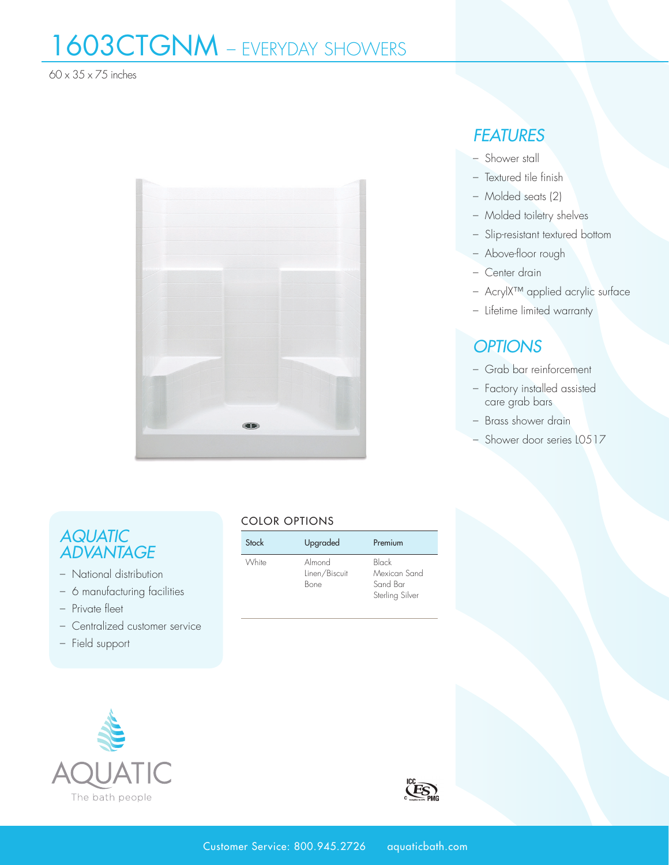# 1603CTGNM – EVERYDAY SHOWERS

60 x 35 x 75 inches



## *AQUATIC ADVANTAGE*

- National distribution
- 6 manufacturing facilities
- Private fleet
- Centralized customer service
- Field support

### COLOR OPTIONS

| Stock | Upgraded                        | Premium                                              |
|-------|---------------------------------|------------------------------------------------------|
| White | Almond<br>Linen/Biscuit<br>Bone | Black<br>Mexican Sand<br>Sand Bar<br>Sterling Silver |

## *FEATURES* – Shower stall

- Textured tile finish
- Molded seats (2)
- Molded toiletry shelves
- Slip-resistant textured bottom
- Above-floor rough
- Center drain
- AcrylX™ applied acrylic surface
- Lifetime limited warranty

# *OPTIONS*

- Grab bar reinforcement
- Factory installed assisted care grab bars
- Brass shower drain
- Shower door series L0517